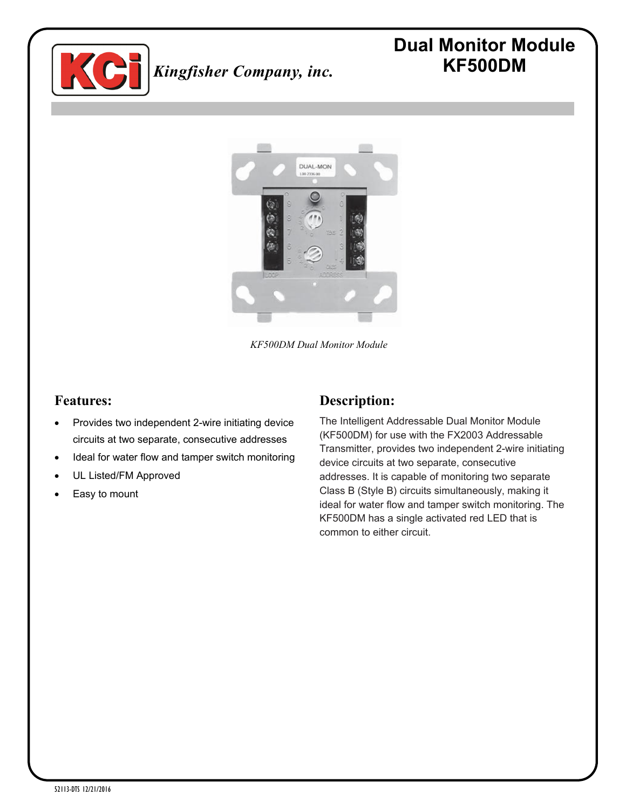

# **Dual Monitor Module KF500DM**



*KF500DM Dual Monitor Module*

#### **Features:**

- Provides two independent 2-wire initiating device circuits at two separate, consecutive addresses
- Ideal for water flow and tamper switch monitoring
- UL Listed/FM Approved
- Easy to mount

### **Description:**

The Intelligent Addressable Dual Monitor Module (KF500DM) for use with the FX2003 Addressable Transmitter, provides two independent 2-wire initiating device circuits at two separate, consecutive addresses. It is capable of monitoring two separate Class B (Style B) circuits simultaneously, making it ideal for water flow and tamper switch monitoring. The KF500DM has a single activated red LED that is common to either circuit.